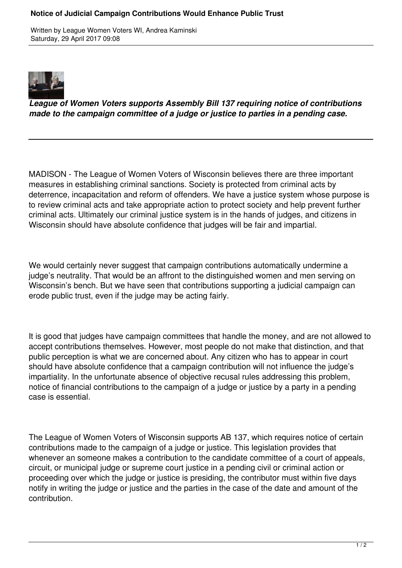## **Notice of Judicial Campaign Contributions Would Enhance Public Trust**

Written by League Women Voters WI, Andrea Kaminski Saturday, 29 April 2017 09:08



*League of Women Voters supports Assembly Bill 137 requiring notice of contributions made to the campaign committee of a judge or justice to parties in a pending case.*

MADISON - The League of Women Voters of Wisconsin believes there are three important measures in establishing criminal sanctions. Society is protected from criminal acts by deterrence, incapacitation and reform of offenders. We have a justice system whose purpose is to review criminal acts and take appropriate action to protect society and help prevent further criminal acts. Ultimately our criminal justice system is in the hands of judges, and citizens in Wisconsin should have absolute confidence that judges will be fair and impartial.

We would certainly never suggest that campaign contributions automatically undermine a judge's neutrality. That would be an affront to the distinguished women and men serving on Wisconsin's bench. But we have seen that contributions supporting a judicial campaign can erode public trust, even if the judge may be acting fairly.

It is good that judges have campaign committees that handle the money, and are not allowed to accept contributions themselves. However, most people do not make that distinction, and that public perception is what we are concerned about. Any citizen who has to appear in court should have absolute confidence that a campaign contribution will not influence the judge's impartiality. In the unfortunate absence of objective recusal rules addressing this problem, notice of financial contributions to the campaign of a judge or justice by a party in a pending case is essential.

The League of Women Voters of Wisconsin supports AB 137, which requires notice of certain contributions made to the campaign of a judge or justice. This legislation provides that whenever an someone makes a contribution to the candidate committee of a court of appeals, circuit, or municipal judge or supreme court justice in a pending civil or criminal action or proceeding over which the judge or justice is presiding, the contributor must within five days notify in writing the judge or justice and the parties in the case of the date and amount of the contribution.